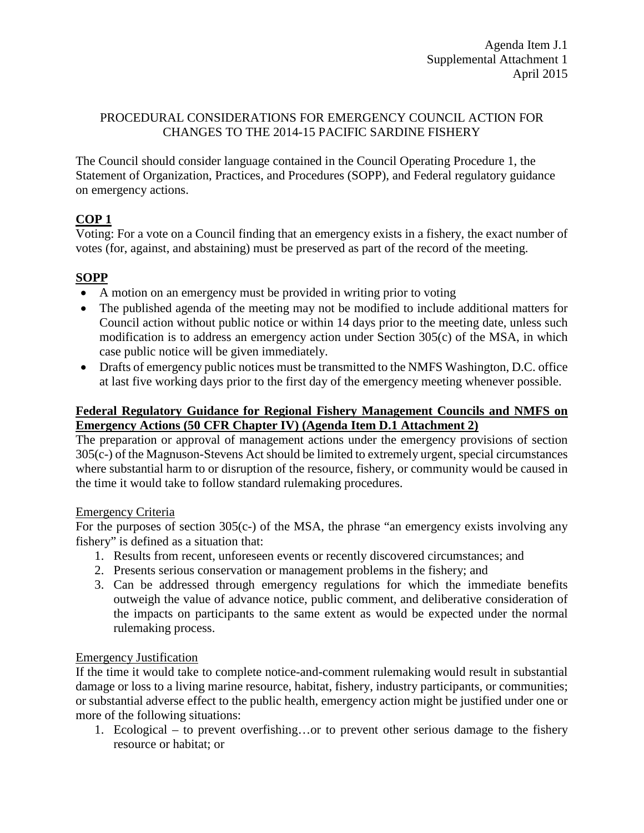### PROCEDURAL CONSIDERATIONS FOR EMERGENCY COUNCIL ACTION FOR CHANGES TO THE 2014-15 PACIFIC SARDINE FISHERY

The Council should consider language contained in the Council Operating Procedure 1, the Statement of Organization, Practices, and Procedures (SOPP), and Federal regulatory guidance on emergency actions.

# **COP 1**

Voting: For a vote on a Council finding that an emergency exists in a fishery, the exact number of votes (for, against, and abstaining) must be preserved as part of the record of the meeting.

## **SOPP**

- A motion on an emergency must be provided in writing prior to voting
- The published agenda of the meeting may not be modified to include additional matters for Council action without public notice or within 14 days prior to the meeting date, unless such modification is to address an emergency action under Section 305(c) of the MSA, in which case public notice will be given immediately.
- Drafts of emergency public notices must be transmitted to the NMFS Washington, D.C. office at last five working days prior to the first day of the emergency meeting whenever possible.

## **Federal Regulatory Guidance for Regional Fishery Management Councils and NMFS on Emergency Actions (50 CFR Chapter IV) (Agenda Item D.1 Attachment 2)**

The preparation or approval of management actions under the emergency provisions of section 305(c-) of the Magnuson-Stevens Act should be limited to extremely urgent, special circumstances where substantial harm to or disruption of the resource, fishery, or community would be caused in the time it would take to follow standard rulemaking procedures.

### Emergency Criteria

For the purposes of section 305(c-) of the MSA, the phrase "an emergency exists involving any fishery" is defined as a situation that:

- 1. Results from recent, unforeseen events or recently discovered circumstances; and
- 2. Presents serious conservation or management problems in the fishery; and
- 3. Can be addressed through emergency regulations for which the immediate benefits outweigh the value of advance notice, public comment, and deliberative consideration of the impacts on participants to the same extent as would be expected under the normal rulemaking process.

## Emergency Justification

If the time it would take to complete notice-and-comment rulemaking would result in substantial damage or loss to a living marine resource, habitat, fishery, industry participants, or communities; or substantial adverse effect to the public health, emergency action might be justified under one or more of the following situations:

1. Ecological – to prevent overfishing…or to prevent other serious damage to the fishery resource or habitat; or